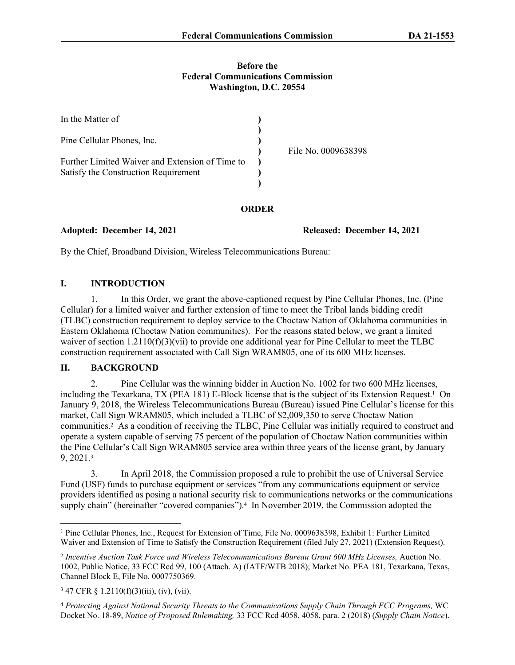#### **Before the Federal Communications Commission Washington, D.C. 20554**

| In the Matter of                                |                     |
|-------------------------------------------------|---------------------|
| Pine Cellular Phones, Inc.                      | File No. 0009638398 |
| Further Limited Waiver and Extension of Time to |                     |
| Satisfy the Construction Requirement            |                     |

### **ORDER**

**Adopted: December 14, 2021 Released: December 14, 2021**

By the Chief, Broadband Division, Wireless Telecommunications Bureau:

# **I. INTRODUCTION**

1. In this Order, we grant the above-captioned request by Pine Cellular Phones, Inc. (Pine Cellular) for a limited waiver and further extension of time to meet the Tribal lands bidding credit (TLBC) construction requirement to deploy service to the Choctaw Nation of Oklahoma communities in Eastern Oklahoma (Choctaw Nation communities). For the reasons stated below, we grant a limited waiver of section 1.2110(f)(3)(vii) to provide one additional year for Pine Cellular to meet the TLBC construction requirement associated with Call Sign WRAM805, one of its 600 MHz licenses.

# **II. BACKGROUND**

2. Pine Cellular was the winning bidder in Auction No. 1002 for two 600 MHz licenses, including the Texarkana, TX (PEA 181) E-Block license that is the subject of its Extension Request.<sup>1</sup> On January 9, 2018, the Wireless Telecommunications Bureau (Bureau) issued Pine Cellular's license for this market, Call Sign WRAM805, which included a TLBC of \$2,009,350 to serve Choctaw Nation communities.<sup>2</sup> As a condition of receiving the TLBC, Pine Cellular was initially required to construct and operate a system capable of serving 75 percent of the population of Choctaw Nation communities within the Pine Cellular's Call Sign WRAM805 service area within three years of the license grant, by January 9, 2021.<sup>3</sup>

3. In April 2018, the Commission proposed a rule to prohibit the use of Universal Service Fund (USF) funds to purchase equipment or services "from any communications equipment or service providers identified as posing a national security risk to communications networks or the communications supply chain" (hereinafter "covered companies").<sup>4</sup> In November 2019, the Commission adopted the

<sup>&</sup>lt;sup>1</sup> Pine Cellular Phones, Inc., Request for Extension of Time, File No. 0009638398, Exhibit 1: Further Limited Waiver and Extension of Time to Satisfy the Construction Requirement (filed July 27, 2021) (Extension Request).

<sup>2</sup> *Incentive Auction Task Force and Wireless Telecommunications Bureau Grant 600 MHz Licenses,* Auction No. 1002, Public Notice, 33 FCC Rcd 99, 100 (Attach. A) (IATF/WTB 2018); Market No. PEA 181, Texarkana, Texas, Channel Block E, File No. 0007750369.

<sup>3</sup> 47 CFR § 1.2110(f)(3)(iii), (iv), (vii).

<sup>4</sup> *Protecting Against National Security Threats to the Communications Supply Chain Through FCC Programs,* WC Docket No. 18-89, *Notice of Proposed Rulemaking,* 33 FCC Rcd 4058, 4058, para. 2 (2018) (*Supply Chain Notice*).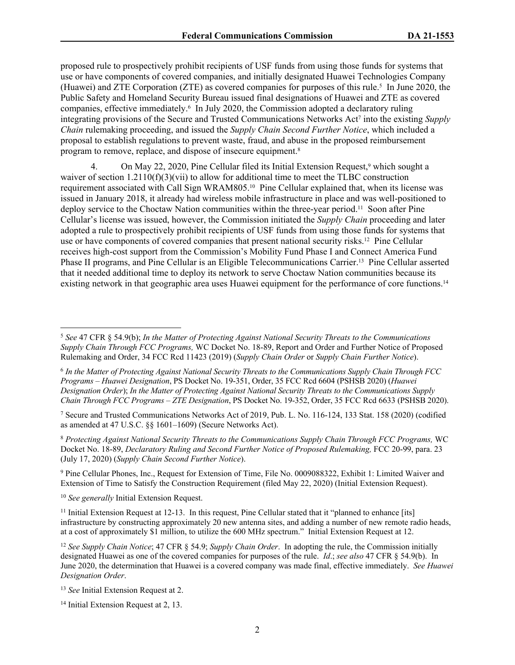proposed rule to prospectively prohibit recipients of USF funds from using those funds for systems that use or have components of covered companies, and initially designated Huawei Technologies Company (Huawei) and ZTE Corporation (ZTE) as covered companies for purposes of this rule.<sup>5</sup> In June 2020, the Public Safety and Homeland Security Bureau issued final designations of Huawei and ZTE as covered companies, effective immediately.<sup>6</sup> In July 2020, the Commission adopted a declaratory ruling integrating provisions of the Secure and Trusted Communications Networks Act<sup>7</sup> into the existing *Supply Chain* rulemaking proceeding, and issued the *Supply Chain Second Further Notice*, which included a proposal to establish regulations to prevent waste, fraud, and abuse in the proposed reimbursement program to remove, replace, and dispose of insecure equipment.<sup>8</sup>

4. On May 22, 2020, Pine Cellular filed its Initial Extension Request,<sup>9</sup> which sought a waiver of section 1.2110(f)(3)(vii) to allow for additional time to meet the TLBC construction requirement associated with Call Sign WRAM805.10 Pine Cellular explained that, when its license was issued in January 2018, it already had wireless mobile infrastructure in place and was well-positioned to deploy service to the Choctaw Nation communities within the three-year period.11 Soon after Pine Cellular's license was issued, however, the Commission initiated the *Supply Chain* proceeding and later adopted a rule to prospectively prohibit recipients of USF funds from using those funds for systems that use or have components of covered companies that present national security risks.<sup>12</sup> Pine Cellular receives high-cost support from the Commission's Mobility Fund Phase I and Connect America Fund Phase II programs, and Pine Cellular is an Eligible Telecommunications Carrier.13 Pine Cellular asserted that it needed additional time to deploy its network to serve Choctaw Nation communities because its existing network in that geographic area uses Huawei equipment for the performance of core functions.<sup>14</sup>

<sup>9</sup> Pine Cellular Phones, Inc., Request for Extension of Time, File No. 0009088322, Exhibit 1: Limited Waiver and Extension of Time to Satisfy the Construction Requirement (filed May 22, 2020) (Initial Extension Request).

<sup>10</sup> *See generally* Initial Extension Request.

<sup>5</sup> *See* 47 CFR § 54.9(b); *In the Matter of Protecting Against National Security Threats to the Communications Supply Chain Through FCC Programs,* WC Docket No. 18-89, Report and Order and Further Notice of Proposed Rulemaking and Order, 34 FCC Rcd 11423 (2019) (*Supply Chain Order* or *Supply Chain Further Notice*).

<sup>6</sup> *In the Matter of Protecting Against National Security Threats to the Communications Supply Chain Through FCC Programs – Huawei Designation*, PS Docket No. 19-351, Order, 35 FCC Rcd 6604 (PSHSB 2020) (*Huawei Designation Order*); *In the Matter of Protecting Against National Security Threats to the Communications Supply Chain Through FCC Programs – ZTE Designation*, PS Docket No. 19-352, Order, 35 FCC Rcd 6633 (PSHSB 2020).

<sup>7</sup> Secure and Trusted Communications Networks Act of 2019, Pub. L. No. 116-124, 133 Stat. 158 (2020) (codified as amended at 47 U.S.C. §§ 1601–1609) (Secure Networks Act).

<sup>8</sup> *Protecting Against National Security Threats to the Communications Supply Chain Through FCC Programs,* WC Docket No. 18-89, *Declaratory Ruling and Second Further Notice of Proposed Rulemaking,* FCC 20-99, para. 23 (July 17, 2020) (*Supply Chain Second Further Notice*).

<sup>&</sup>lt;sup>11</sup> Initial Extension Request at 12-13. In this request, Pine Cellular stated that it "planned to enhance [its] infrastructure by constructing approximately 20 new antenna sites, and adding a number of new remote radio heads, at a cost of approximately \$1 million, to utilize the 600 MHz spectrum." Initial Extension Request at 12.

<sup>12</sup> *See Supply Chain Notice*; 47 CFR § 54.9; *Supply Chain Order*. In adopting the rule, the Commission initially designated Huawei as one of the covered companies for purposes of the rule. *Id*.; *see also* 47 CFR § 54.9(b). In June 2020, the determination that Huawei is a covered company was made final, effective immediately. *See Huawei Designation Order*.

<sup>13</sup> *See* Initial Extension Request at 2.

<sup>14</sup> Initial Extension Request at 2, 13.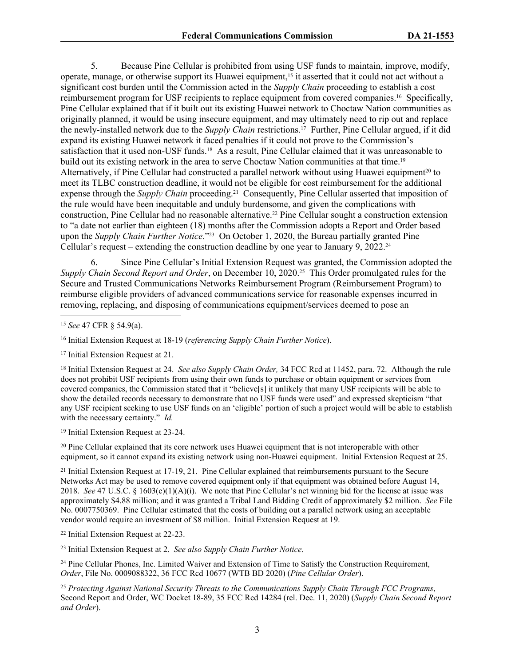5. Because Pine Cellular is prohibited from using USF funds to maintain, improve, modify, operate, manage, or otherwise support its Huawei equipment,15 it asserted that it could not act without a significant cost burden until the Commission acted in the *Supply Chain* proceeding to establish a cost reimbursement program for USF recipients to replace equipment from covered companies.16 Specifically, Pine Cellular explained that if it built out its existing Huawei network to Choctaw Nation communities as originally planned, it would be using insecure equipment, and may ultimately need to rip out and replace the newly-installed network due to the *Supply Chain* restrictions.17 Further, Pine Cellular argued, if it did expand its existing Huawei network it faced penalties if it could not prove to the Commission's satisfaction that it used non-USF funds.18 As a result, Pine Cellular claimed that it was unreasonable to build out its existing network in the area to serve Choctaw Nation communities at that time.<sup>19</sup> Alternatively, if Pine Cellular had constructed a parallel network without using Huawei equipment<sup>20</sup> to meet its TLBC construction deadline, it would not be eligible for cost reimbursement for the additional expense through the *Supply Chain* proceeding.21 Consequently, Pine Cellular asserted that imposition of the rule would have been inequitable and unduly burdensome, and given the complications with construction, Pine Cellular had no reasonable alternative.22 Pine Cellular sought a construction extension to "a date not earlier than eighteen (18) months after the Commission adopts a Report and Order based upon the *Supply Chain Further Notice*."<sup>23</sup> On October 1, 2020, the Bureau partially granted Pine Cellular's request – extending the construction deadline by one year to January 9,  $2022^{24}$ 

6. Since Pine Cellular's Initial Extension Request was granted, the Commission adopted the *Supply Chain Second Report and Order*, on December 10, 2020.25 This Order promulgated rules for the Secure and Trusted Communications Networks Reimbursement Program (Reimbursement Program) to reimburse eligible providers of advanced communications service for reasonable expenses incurred in removing, replacing, and disposing of communications equipment/services deemed to pose an

<sup>16</sup> Initial Extension Request at 18-19 (*referencing Supply Chain Further Notice*).

<sup>17</sup> Initial Extension Request at 21.

<sup>18</sup> Initial Extension Request at 24. *See also Supply Chain Order,* 34 FCC Rcd at 11452, para. 72. Although the rule does not prohibit USF recipients from using their own funds to purchase or obtain equipment or services from covered companies, the Commission stated that it "believe[s] it unlikely that many USF recipients will be able to show the detailed records necessary to demonstrate that no USF funds were used" and expressed skepticism "that any USF recipient seeking to use USF funds on an 'eligible' portion of such a project would will be able to establish with the necessary certainty." *Id.*

<sup>19</sup> Initial Extension Request at 23-24.

<sup>20</sup> Pine Cellular explained that its core network uses Huawei equipment that is not interoperable with other equipment, so it cannot expand its existing network using non-Huawei equipment. Initial Extension Request at 25.

<sup>21</sup> Initial Extension Request at 17-19, 21. Pine Cellular explained that reimbursements pursuant to the Secure Networks Act may be used to remove covered equipment only if that equipment was obtained before August 14, 2018. *See* 47 U.S.C. § 1603(c)(1)(A)(i). We note that Pine Cellular's net winning bid for the license at issue was approximately \$4.88 million; and it was granted a Tribal Land Bidding Credit of approximately \$2 million. *See* File No. 0007750369. Pine Cellular estimated that the costs of building out a parallel network using an acceptable vendor would require an investment of \$8 million. Initial Extension Request at 19.

<sup>22</sup> Initial Extension Request at 22-23.

<sup>23</sup> Initial Extension Request at 2. *See also Supply Chain Further Notice*.

<sup>24</sup> Pine Cellular Phones, Inc. Limited Waiver and Extension of Time to Satisfy the Construction Requirement, *Order*, File No. 0009088322, 36 FCC Rcd 10677 (WTB BD 2020) (*Pine Cellular Order*).

<sup>25</sup> *Protecting Against National Security Threats to the Communications Supply Chain Through FCC Programs*, Second Report and Order, WC Docket 18-89, 35 FCC Rcd 14284 (rel. Dec. 11, 2020) (*Supply Chain Second Report and Order*).

<sup>15</sup> *See* 47 CFR § 54.9(a).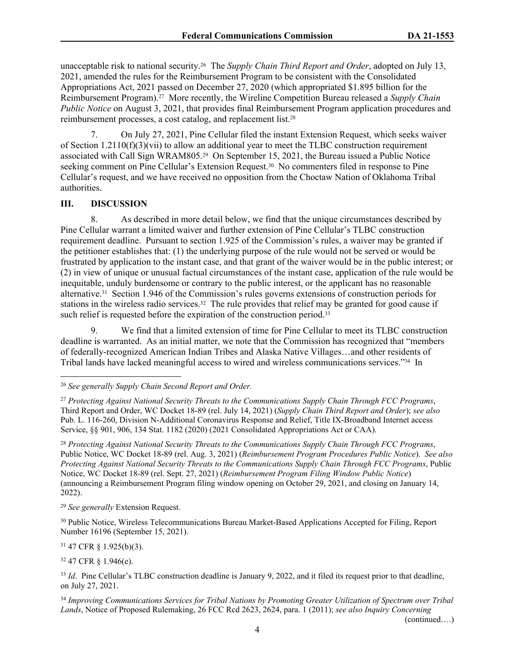unacceptable risk to national security.26 The *Supply Chain Third Report and Order*, adopted on July 13, 2021, amended the rules for the Reimbursement Program to be consistent with the Consolidated Appropriations Act, 2021 passed on December 27, 2020 (which appropriated \$1.895 billion for the Reimbursement Program).<sup>27</sup> More recently, the Wireline Competition Bureau released a *Supply Chain Public Notice* on August 3, 2021, that provides final Reimbursement Program application procedures and reimbursement processes, a cost catalog, and replacement list.<sup>28</sup>

7. On July 27, 2021, Pine Cellular filed the instant Extension Request, which seeks waiver of Section  $1.2110(f)(3)(vi)$  to allow an additional year to meet the TLBC construction requirement associated with Call Sign WRAM805.29 On September 15, 2021, the Bureau issued a Public Notice seeking comment on Pine Cellular's Extension Request.<sup>30</sup> No commenters filed in response to Pine Cellular's request, and we have received no opposition from the Choctaw Nation of Oklahoma Tribal authorities.

#### **III. DISCUSSION**

8. As described in more detail below, we find that the unique circumstances described by Pine Cellular warrant a limited waiver and further extension of Pine Cellular's TLBC construction requirement deadline. Pursuant to section 1.925 of the Commission's rules, a waiver may be granted if the petitioner establishes that: (1) the underlying purpose of the rule would not be served or would be frustrated by application to the instant case, and that grant of the waiver would be in the public interest; or (2) in view of unique or unusual factual circumstances of the instant case, application of the rule would be inequitable, unduly burdensome or contrary to the public interest, or the applicant has no reasonable alternative.31 Section 1.946 of the Commission's rules governs extensions of construction periods for stations in the wireless radio services.<sup>32</sup> The rule provides that relief may be granted for good cause if such relief is requested before the expiration of the construction period.<sup>33</sup>

9. We find that a limited extension of time for Pine Cellular to meet its TLBC construction deadline is warranted. As an initial matter, we note that the Commission has recognized that "members of federally-recognized American Indian Tribes and Alaska Native Villages…and other residents of Tribal lands have lacked meaningful access to wired and wireless communications services."34 In

<sup>28</sup> *Protecting Against National Security Threats to the Communications Supply Chain Through FCC Programs*, Public Notice, WC Docket 18-89 (rel. Aug. 3, 2021) (*Reimbursement Program Procedures Public Notice*). *See also Protecting Against National Security Threats to the Communications Supply Chain Through FCC Programs*, Public Notice, WC Docket 18-89 (rel. Sept. 27, 2021) (*Reimbursement Program Filing Window Public Notice*) (announcing a Reimbursement Program filing window opening on October 29, 2021, and closing on January 14, 2022).

<sup>29</sup> *See generally* Extension Request.

<sup>30</sup> Public Notice, Wireless Telecommunications Bureau Market-Based Applications Accepted for Filing, Report Number 16196 (September 15, 2021).

<sup>31</sup> 47 CFR § 1.925(b)(3).

<sup>32</sup> 47 CFR § 1.946(e).

<sup>33</sup> *Id.* Pine Cellular's TLBC construction deadline is January 9, 2022, and it filed its request prior to that deadline, on July 27, 2021.

<sup>34</sup> *Improving Communications Services for Tribal Nations by Promoting Greater Utilization of Spectrum over Tribal Lands*, Notice of Proposed Rulemaking, 26 FCC Rcd 2623, 2624, para. 1 (2011); *see also Inquiry Concerning* 

(continued….)

<sup>26</sup> *See generally Supply Chain Second Report and Order.*

<sup>27</sup> *Protecting Against National Security Threats to the Communications Supply Chain Through FCC Programs*, Third Report and Order, WC Docket 18-89 (rel. July 14, 2021) (*Supply Chain Third Report and Order*); *see also* Pub. L. 116-260, Division N-Additional Coronavirus Response and Relief, Title IX-Broadband Internet access Service, §§ 901, 906, 134 Stat. 1182 (2020) (2021 Consolidated Appropriations Act or CAA).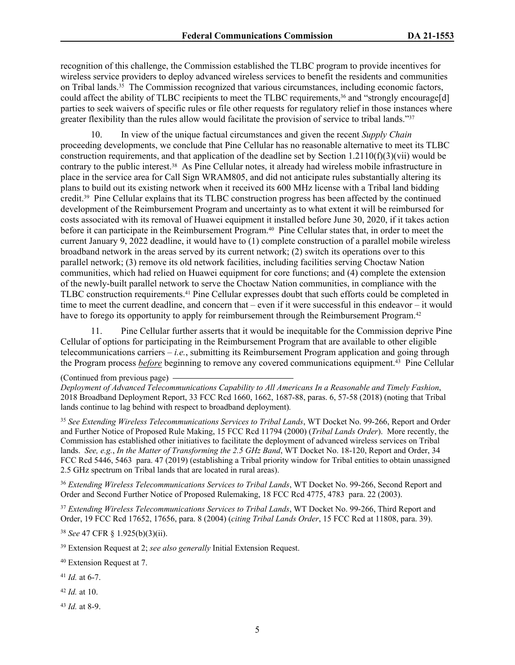recognition of this challenge, the Commission established the TLBC program to provide incentives for wireless service providers to deploy advanced wireless services to benefit the residents and communities on Tribal lands.35 The Commission recognized that various circumstances, including economic factors, could affect the ability of TLBC recipients to meet the TLBC requirements,<sup>36</sup> and "strongly encourage[d] parties to seek waivers of specific rules or file other requests for regulatory relief in those instances where greater flexibility than the rules allow would facilitate the provision of service to tribal lands."<sup>37</sup>

10. In view of the unique factual circumstances and given the recent *Supply Chain* proceeding developments, we conclude that Pine Cellular has no reasonable alternative to meet its TLBC construction requirements, and that application of the deadline set by Section 1.2110(f)(3)(vii) would be contrary to the public interest.38 As Pine Cellular notes, it already had wireless mobile infrastructure in place in the service area for Call Sign WRAM805, and did not anticipate rules substantially altering its plans to build out its existing network when it received its 600 MHz license with a Tribal land bidding credit.39 Pine Cellular explains that its TLBC construction progress has been affected by the continued development of the Reimbursement Program and uncertainty as to what extent it will be reimbursed for costs associated with its removal of Huawei equipment it installed before June 30, 2020, if it takes action before it can participate in the Reimbursement Program.<sup>40</sup> Pine Cellular states that, in order to meet the current January 9, 2022 deadline, it would have to (1) complete construction of a parallel mobile wireless broadband network in the areas served by its current network; (2) switch its operations over to this parallel network; (3) remove its old network facilities, including facilities serving Choctaw Nation communities, which had relied on Huawei equipment for core functions; and (4) complete the extension of the newly-built parallel network to serve the Choctaw Nation communities, in compliance with the TLBC construction requirements.41 Pine Cellular expresses doubt that such efforts could be completed in time to meet the current deadline, and concern that – even if it were successful in this endeavor – it would have to forego its opportunity to apply for reimbursement through the Reimbursement Program.<sup>42</sup>

11. Pine Cellular further asserts that it would be inequitable for the Commission deprive Pine Cellular of options for participating in the Reimbursement Program that are available to other eligible telecommunications carriers – *i.e.*, submitting its Reimbursement Program application and going through the Program process *before* beginning to remove any covered communications equipment.43 Pine Cellular

<sup>35</sup> *See Extending Wireless Telecommunications Services to Tribal Lands*, WT Docket No. 99-266, Report and Order and Further Notice of Proposed Rule Making, 15 FCC Rcd 11794 (2000) (*Tribal Lands Order*). More recently, the Commission has established other initiatives to facilitate the deployment of advanced wireless services on Tribal lands. *See, e.g.*, *In the Matter of Transforming the 2.5 GHz Band*, WT Docket No. 18-120, Report and Order, 34 FCC Rcd 5446, 5463 para. 47 (2019) (establishing a Tribal priority window for Tribal entities to obtain unassigned 2.5 GHz spectrum on Tribal lands that are located in rural areas).

<sup>36</sup> *Extending Wireless Telecommunications Services to Tribal Lands*, WT Docket No. 99-266, Second Report and Order and Second Further Notice of Proposed Rulemaking, 18 FCC Rcd 4775, 4783 para. 22 (2003).

<sup>37</sup> *Extending Wireless Telecommunications Services to Tribal Lands*, WT Docket No. 99-266, Third Report and Order, 19 FCC Rcd 17652, 17656, para. 8 (2004) (*citing Tribal Lands Order*, 15 FCC Rcd at 11808, para. 39).

<sup>38</sup> *See* 47 CFR § 1.925(b)(3)(ii).

<sup>39</sup> Extension Request at 2; *see also generally* Initial Extension Request.

<sup>40</sup> Extension Request at 7.

<sup>41</sup> *Id.* at 6-7.

<sup>42</sup> *Id.* at 10.

<sup>43</sup> *Id.* at 8-9.

<sup>(</sup>Continued from previous page)

*Deployment of Advanced Telecommunications Capability to All Americans In a Reasonable and Timely Fashion*, 2018 Broadband Deployment Report, 33 FCC Rcd 1660, 1662, 1687-88, paras. 6, 57-58 (2018) (noting that Tribal lands continue to lag behind with respect to broadband deployment)*.*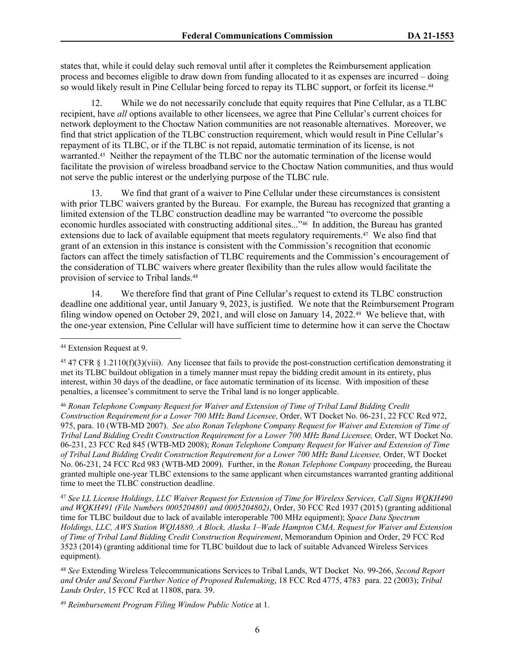states that, while it could delay such removal until after it completes the Reimbursement application process and becomes eligible to draw down from funding allocated to it as expenses are incurred – doing so would likely result in Pine Cellular being forced to repay its TLBC support, or forfeit its license.<sup>44</sup>

12. While we do not necessarily conclude that equity requires that Pine Cellular, as a TLBC recipient, have *all* options available to other licensees, we agree that Pine Cellular's current choices for network deployment to the Choctaw Nation communities are not reasonable alternatives. Moreover, we find that strict application of the TLBC construction requirement, which would result in Pine Cellular's repayment of its TLBC, or if the TLBC is not repaid, automatic termination of its license, is not warranted.45 Neither the repayment of the TLBC nor the automatic termination of the license would facilitate the provision of wireless broadband service to the Choctaw Nation communities, and thus would not serve the public interest or the underlying purpose of the TLBC rule.

We find that grant of a waiver to Pine Cellular under these circumstances is consistent with prior TLBC waivers granted by the Bureau. For example, the Bureau has recognized that granting a limited extension of the TLBC construction deadline may be warranted "to overcome the possible economic hurdles associated with constructing additional sites..."46 In addition, the Bureau has granted extensions due to lack of available equipment that meets regulatory requirements.<sup>47</sup> We also find that grant of an extension in this instance is consistent with the Commission's recognition that economic factors can affect the timely satisfaction of TLBC requirements and the Commission's encouragement of the consideration of TLBC waivers where greater flexibility than the rules allow would facilitate the provision of service to Tribal lands.<sup>48</sup>

14. We therefore find that grant of Pine Cellular's request to extend its TLBC construction deadline one additional year, until January 9, 2023, is justified. We note that the Reimbursement Program filing window opened on October 29, 2021, and will close on January 14, 2022.49 We believe that, with the one-year extension, Pine Cellular will have sufficient time to determine how it can serve the Choctaw

<sup>46</sup> *Ronan Telephone Company Request for Waiver and Extension of Time of Tribal Land Bidding Credit Construction Requirement for a Lower 700 MHz Band Licensee,* Order, WT Docket No. 06-231, 22 FCC Rcd 972, 975, para. 10 (WTB-MD 2007). *See also Ronan Telephone Company Request for Waiver and Extension of Time of Tribal Land Bidding Credit Construction Requirement for a Lower 700 MHz Band Licensee,* Order, WT Docket No. 06-231, 23 FCC Rcd 845 (WTB-MD 2008); *Ronan Telephone Company Request for Waiver and Extension of Time of Tribal Land Bidding Credit Construction Requirement for a Lower 700 MHz Band Licensee,* Order, WT Docket No. 06-231, 24 FCC Rcd 983 (WTB-MD 2009). Further, in the *Ronan Telephone Company* proceeding, the Bureau granted multiple one-year TLBC extensions to the same applicant when circumstances warranted granting additional time to meet the TLBC construction deadline.

<sup>47</sup> *See LL License Holdings, LLC Waiver Request for Extension of Time for Wireless Services, Call Signs WQKH490 and WQKH491 (File Numbers 0005204801 and 0005204802)*, Order, 30 FCC Rcd 1937 (2015) (granting additional time for TLBC buildout due to lack of available interoperable 700 MHz equipment); *Space Data Spectrum Holdings, LLC, AWS Station WQIA880, A Block, Alaska 1–Wade Hampton CMA, Request for Waiver and Extension of Time of Tribal Land Bidding Credit Construction Requirement*, Memorandum Opinion and Order, 29 FCC Rcd 3523 (2014) (granting additional time for TLBC buildout due to lack of suitable Advanced Wireless Services equipment).

<sup>48</sup> *See* Extending Wireless Telecommunications Services to Tribal Lands, WT Docket No. 99-266, *Second Report and Order and Second Further Notice of Proposed Rulemaking*, 18 FCC Rcd 4775, 4783 para. 22 (2003); *Tribal Lands Order*, 15 FCC Rcd at 11808, para. 39.

<sup>49</sup> *Reimbursement Program Filing Window Public Notice* at 1.

<sup>44</sup> Extension Request at 9.

<sup>&</sup>lt;sup>45</sup> 47 CFR § 1.2110(f)(3)(viii). Any licensee that fails to provide the post-construction certification demonstrating it met its TLBC buildout obligation in a timely manner must repay the bidding credit amount in its entirety, plus interest, within 30 days of the deadline, or face automatic termination of its license. With imposition of these penalties, a licensee's commitment to serve the Tribal land is no longer applicable.